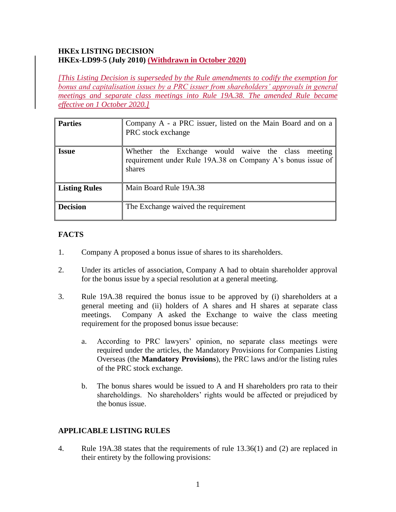#### **HKEx LISTING DECISION HKEx-LD99-5 (July 2010) (Withdrawn in October 2020)**

*[This Listing Decision is superseded by the Rule amendments to codify the exemption for bonus and capitalisation issues by a PRC issuer from shareholders' approvals in general meetings and separate class meetings into Rule 19A.38. The amended Rule became effective on 1 October 2020.]*

| <b>Parties</b>  | Company A - a PRC issuer, listed on the Main Board and on a<br>PRC stock exchange                                           |
|-----------------|-----------------------------------------------------------------------------------------------------------------------------|
| <b>Issue</b>    | Whether the Exchange would waive the class meeting<br>requirement under Rule 19A.38 on Company A's bonus issue of<br>shares |
| Listing Rules   | Main Board Rule 19A.38                                                                                                      |
| <b>Decision</b> | The Exchange waived the requirement                                                                                         |

## **FACTS**

- 1. Company A proposed a bonus issue of shares to its shareholders.
- 2. Under its articles of association, Company A had to obtain shareholder approval for the bonus issue by a special resolution at a general meeting.
- 3. Rule 19A.38 required the bonus issue to be approved by (i) shareholders at a general meeting and (ii) holders of A shares and H shares at separate class meetings. Company A asked the Exchange to waive the class meeting requirement for the proposed bonus issue because:
	- a. According to PRC lawyers' opinion, no separate class meetings were required under the articles, the Mandatory Provisions for Companies Listing Overseas (the **Mandatory Provisions**), the PRC laws and/or the listing rules of the PRC stock exchange.
	- b. The bonus shares would be issued to A and H shareholders pro rata to their shareholdings. No shareholders' rights would be affected or prejudiced by the bonus issue.

### **APPLICABLE LISTING RULES**

4. Rule 19A.38 states that the requirements of rule 13.36(1) and (2) are replaced in their entirety by the following provisions: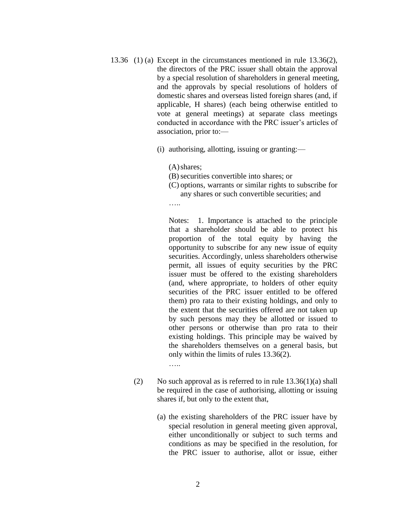- 13.36 (1) (a) Except in the circumstances mentioned in rule 13.36(2), the directors of the PRC issuer shall obtain the approval by a special resolution of shareholders in general meeting, and the approvals by special resolutions of holders of domestic shares and overseas listed foreign shares (and, if applicable, H shares) (each being otherwise entitled to vote at general meetings) at separate class meetings conducted in accordance with the PRC issuer's articles of association, prior to:—
	- (i) authorising, allotting, issuing or granting:—

(A)shares;

(B)securities convertible into shares; or

(C) options, warrants or similar rights to subscribe for any shares or such convertible securities; and

…..

Notes: 1. Importance is attached to the principle that a shareholder should be able to protect his proportion of the total equity by having the opportunity to subscribe for any new issue of equity securities. Accordingly, unless shareholders otherwise permit, all issues of equity securities by the PRC issuer must be offered to the existing shareholders (and, where appropriate, to holders of other equity securities of the PRC issuer entitled to be offered them) pro rata to their existing holdings, and only to the extent that the securities offered are not taken up by such persons may they be allotted or issued to other persons or otherwise than pro rata to their existing holdings. This principle may be waived by the shareholders themselves on a general basis, but only within the limits of rules 13.36(2).

…..

- (2) No such approval as is referred to in rule  $13.36(1)(a)$  shall be required in the case of authorising, allotting or issuing shares if, but only to the extent that,
	- (a) the existing shareholders of the PRC issuer have by special resolution in general meeting given approval, either unconditionally or subject to such terms and conditions as may be specified in the resolution, for the PRC issuer to authorise, allot or issue, either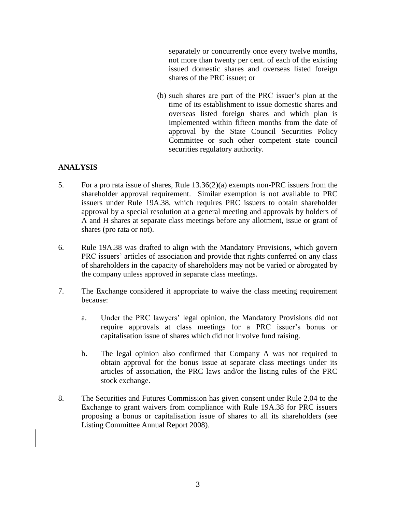separately or concurrently once every twelve months, not more than twenty per cent. of each of the existing issued domestic shares and overseas listed foreign shares of the PRC issuer; or

(b) such shares are part of the PRC issuer's plan at the time of its establishment to issue domestic shares and overseas listed foreign shares and which plan is implemented within fifteen months from the date of approval by the State Council Securities Policy Committee or such other competent state council securities regulatory authority.

#### **ANALYSIS**

- 5. For a pro rata issue of shares, Rule 13.36(2)(a) exempts non-PRC issuers from the shareholder approval requirement. Similar exemption is not available to PRC issuers under Rule 19A.38, which requires PRC issuers to obtain shareholder approval by a special resolution at a general meeting and approvals by holders of A and H shares at separate class meetings before any allotment, issue or grant of shares (pro rata or not).
- 6. Rule 19A.38 was drafted to align with the Mandatory Provisions, which govern PRC issuers' articles of association and provide that rights conferred on any class of shareholders in the capacity of shareholders may not be varied or abrogated by the company unless approved in separate class meetings.
- 7. The Exchange considered it appropriate to waive the class meeting requirement because:
	- a. Under the PRC lawyers' legal opinion, the Mandatory Provisions did not require approvals at class meetings for a PRC issuer's bonus or capitalisation issue of shares which did not involve fund raising.
	- b. The legal opinion also confirmed that Company A was not required to obtain approval for the bonus issue at separate class meetings under its articles of association, the PRC laws and/or the listing rules of the PRC stock exchange.
- 8. The Securities and Futures Commission has given consent under Rule 2.04 to the Exchange to grant waivers from compliance with Rule 19A.38 for PRC issuers proposing a bonus or capitalisation issue of shares to all its shareholders (see Listing Committee Annual Report 2008).